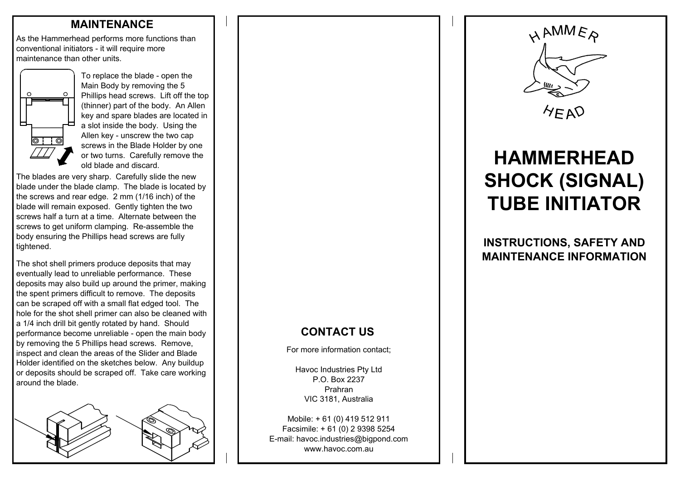#### **MAINTENANCE**

As the Hammerhead performs more functions than conventional initiators - it will require more maintenance than other units.



To replace the blade - open the Main Body by removing the 5 Phillips head screws. Lift off the top (thinner) part of the body. An Allen key and spare blades are located in a slot inside the body. Using the Allen key - unscrew the two cap screws in the Blade Holder by one or two turns. Carefully remove the old blade and discard.

The blades are very sharp. Carefully slide the new blade under the blade clamp. The blade is located by the screws and rear edge. 2 mm (1/16 inch) of the blade will remain exposed. Gently tighten the two screws half a turn at a time. Alternate between the screws to get uniform clamping. Re-assemble the body ensuring the Phillips head screws are fully tightened.

The shot shell primers produce deposits that may eventually lead to unreliable performance. These deposits may also build up around the primer, making the spent primers difficult to remove. The deposits can be scraped off with a small flat edged tool. The hole for the shot shell primer can also be cleaned with a 1/4 inch drill bit gently rotated by hand. Should performance become unreliable - open the main body by removing the 5 Phillips head screws. Remove, inspect and clean the areas of the Slider and Blade Holder identified on the sketches below. Any buildup or deposits should be scraped off. Take care working around the blade.



## **CONTACT US**

For more information contact;

Havoc Industries Pty Ltd P.O. Box 2237PrahranVIC 3181, Australia

Mobile: + 61 (0) 419 512 911 Facsimile: + 61 (0) 2 9398 5254 E-mail: havoc.industries@bigpond.com www.havoc.com.au



 $A F A D$ 

# **HAMMERHEADSHOCK (SIGNAL) TUBE INITIATOR**

**INSTRUCTIONS, SAFETY AND MAINTENANCE INFORMATION**